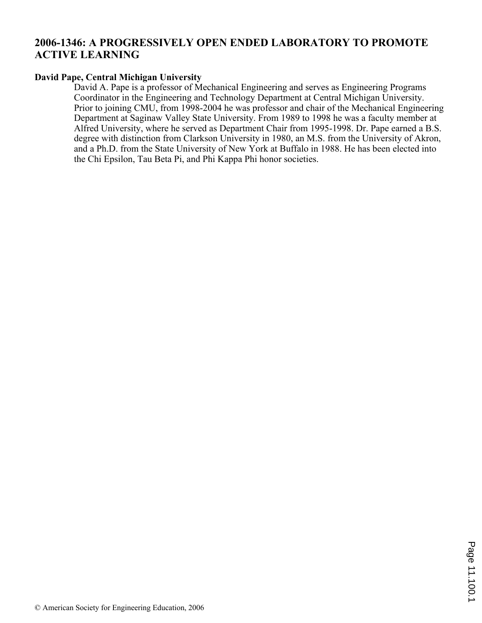# **2006-1346: A PROGRESSIVELY OPEN ENDED LABORATORY TO PROMOTE ACTIVE LEARNING**

#### **David Pape, Central Michigan University**

David A. Pape is a professor of Mechanical Engineering and serves as Engineering Programs Coordinator in the Engineering and Technology Department at Central Michigan University. Prior to joining CMU, from 1998-2004 he was professor and chair of the Mechanical Engineering Department at Saginaw Valley State University. From 1989 to 1998 he was a faculty member at Alfred University, where he served as Department Chair from 1995-1998. Dr. Pape earned a B.S. degree with distinction from Clarkson University in 1980, an M.S. from the University of Akron, and a Ph.D. from the State University of New York at Buffalo in 1988. He has been elected into the Chi Epsilon, Tau Beta Pi, and Phi Kappa Phi honor societies.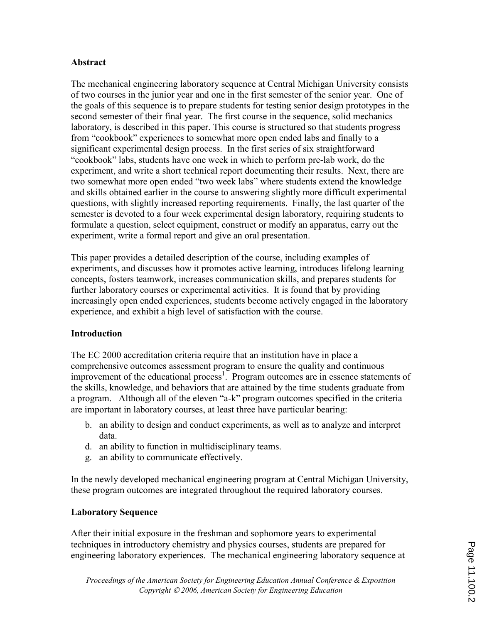### Abstract

The mechanical engineering laboratory sequence at Central Michigan University consists of two courses in the junior year and one in the first semester of the senior year. One of the goals of this sequence is to prepare students for testing senior design prototypes in the second semester of their final year. The first course in the sequence, solid mechanics laboratory, is described in this paper. This course is structured so that students progress from "cookbook" experiences to somewhat more open ended labs and finally to a significant experimental design process. In the first series of six straightforward "cookbook" labs, students have one week in which to perform pre-lab work, do the experiment, and write a short technical report documenting their results. Next, there are two somewhat more open ended "two week labs" where students extend the knowledge and skills obtained earlier in the course to answering slightly more difficult experimental questions, with slightly increased reporting requirements. Finally, the last quarter of the semester is devoted to a four week experimental design laboratory, requiring students to formulate a question, select equipment, construct or modify an apparatus, carry out the experiment, write a formal report and give an oral presentation.

This paper provides a detailed description of the course, including examples of experiments, and discusses how it promotes active learning, introduces lifelong learning concepts, fosters teamwork, increases communication skills, and prepares students for further laboratory courses or experimental activities. It is found that by providing increasingly open ended experiences, students become actively engaged in the laboratory experience, and exhibit a high level of satisfaction with the course.

## Introduction

The EC 2000 accreditation criteria require that an institution have in place a comprehensive outcomes assessment program to ensure the quality and continuous improvement of the educational process<sup>1</sup>. Program outcomes are in essence statements of the skills, knowledge, and behaviors that are attained by the time students graduate from a program. Although all of the eleven "a-k" program outcomes specified in the criteria are important in laboratory courses, at least three have particular bearing:

- b. an ability to design and conduct experiments, as well as to analyze and interpret data.
- d. an ability to function in multidisciplinary teams.
- g. an ability to communicate effectively.

In the newly developed mechanical engineering program at Central Michigan University, these program outcomes are integrated throughout the required laboratory courses.

## Laboratory Sequence

After their initial exposure in the freshman and sophomore years to experimental techniques in introductory chemistry and physics courses, students are prepared for engineering laboratory experiences. The mechanical engineering laboratory sequence at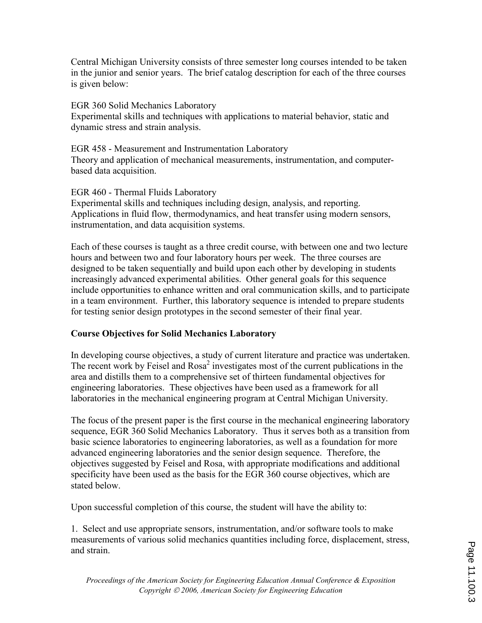Central Michigan University consists of three semester long courses intended to be taken in the junior and senior years. The brief catalog description for each of the three courses is given below:

EGR 360 Solid Mechanics Laboratory Experimental skills and techniques with applications to material behavior, static and dynamic stress and strain analysis.

EGR 458 - Measurement and Instrumentation Laboratory Theory and application of mechanical measurements, instrumentation, and computerbased data acquisition.

EGR 460 - Thermal Fluids Laboratory Experimental skills and techniques including design, analysis, and reporting. Applications in fluid flow, thermodynamics, and heat transfer using modern sensors, instrumentation, and data acquisition systems.

Each of these courses is taught as a three credit course, with between one and two lecture hours and between two and four laboratory hours per week. The three courses are designed to be taken sequentially and build upon each other by developing in students increasingly advanced experimental abilities. Other general goals for this sequence include opportunities to enhance written and oral communication skills, and to participate in a team environment. Further, this laboratory sequence is intended to prepare students for testing senior design prototypes in the second semester of their final year.

## Course Objectives for Solid Mechanics Laboratory

In developing course objectives, a study of current literature and practice was undertaken. The recent work by Feisel and  $Rosa<sup>2</sup>$  investigates most of the current publications in the area and distills them to a comprehensive set of thirteen fundamental objectives for engineering laboratories. These objectives have been used as a framework for all laboratories in the mechanical engineering program at Central Michigan University.

The focus of the present paper is the first course in the mechanical engineering laboratory sequence, EGR 360 Solid Mechanics Laboratory. Thus it serves both as a transition from basic science laboratories to engineering laboratories, as well as a foundation for more advanced engineering laboratories and the senior design sequence. Therefore, the objectives suggested by Feisel and Rosa, with appropriate modifications and additional specificity have been used as the basis for the EGR 360 course objectives, which are stated below.

Upon successful completion of this course, the student will have the ability to:

1. Select and use appropriate sensors, instrumentation, and/or software tools to make measurements of various solid mechanics quantities including force, displacement, stress, and strain.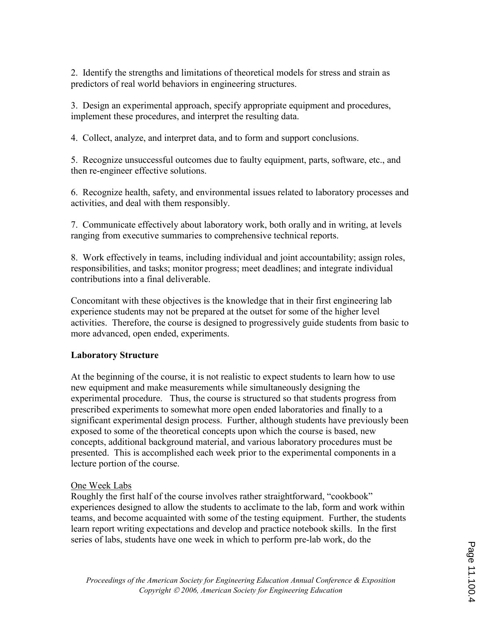2. Identify the strengths and limitations of theoretical models for stress and strain as predictors of real world behaviors in engineering structures.

3. Design an experimental approach, specify appropriate equipment and procedures, implement these procedures, and interpret the resulting data.

4. Collect, analyze, and interpret data, and to form and support conclusions.

5. Recognize unsuccessful outcomes due to faulty equipment, parts, software, etc., and then re-engineer effective solutions.

6. Recognize health, safety, and environmental issues related to laboratory processes and activities, and deal with them responsibly.

7. Communicate effectively about laboratory work, both orally and in writing, at levels ranging from executive summaries to comprehensive technical reports.

8. Work effectively in teams, including individual and joint accountability; assign roles, responsibilities, and tasks; monitor progress; meet deadlines; and integrate individual contributions into a final deliverable.

Concomitant with these objectives is the knowledge that in their first engineering lab experience students may not be prepared at the outset for some of the higher level activities. Therefore, the course is designed to progressively guide students from basic to more advanced, open ended, experiments.

## Laboratory Structure

At the beginning of the course, it is not realistic to expect students to learn how to use new equipment and make measurements while simultaneously designing the experimental procedure. Thus, the course is structured so that students progress from prescribed experiments to somewhat more open ended laboratories and finally to a significant experimental design process. Further, although students have previously been exposed to some of the theoretical concepts upon which the course is based, new concepts, additional background material, and various laboratory procedures must be presented. This is accomplished each week prior to the experimental components in a lecture portion of the course.

#### One Week Labs

Roughly the first half of the course involves rather straightforward, "cookbook" experiences designed to allow the students to acclimate to the lab, form and work within teams, and become acquainted with some of the testing equipment. Further, the students learn report writing expectations and develop and practice notebook skills. In the first series of labs, students have one week in which to perform pre-lab work, do the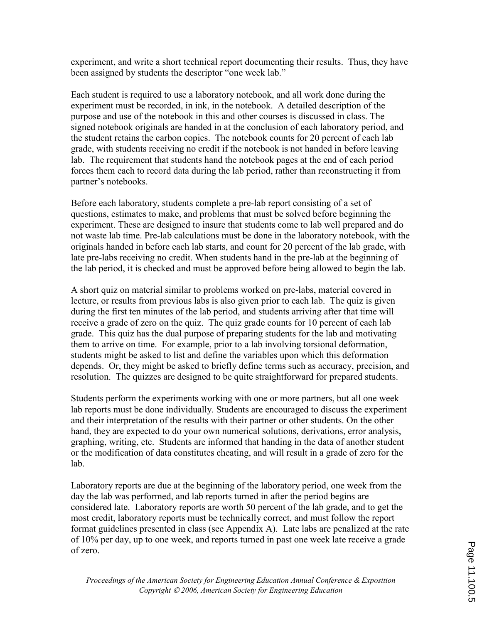experiment, and write a short technical report documenting their results. Thus, they have been assigned by students the descriptor "one week lab."

Each student is required to use a laboratory notebook, and all work done during the experiment must be recorded, in ink, in the notebook. A detailed description of the purpose and use of the notebook in this and other courses is discussed in class. The signed notebook originals are handed in at the conclusion of each laboratory period, and the student retains the carbon copies. The notebook counts for 20 percent of each lab grade, with students receiving no credit if the notebook is not handed in before leaving lab. The requirement that students hand the notebook pages at the end of each period forces them each to record data during the lab period, rather than reconstructing it from partner's notebooks.

Before each laboratory, students complete a pre-lab report consisting of a set of questions, estimates to make, and problems that must be solved before beginning the experiment. These are designed to insure that students come to lab well prepared and do not waste lab time. Pre-lab calculations must be done in the laboratory notebook, with the originals handed in before each lab starts, and count for 20 percent of the lab grade, with late pre-labs receiving no credit. When students hand in the pre-lab at the beginning of the lab period, it is checked and must be approved before being allowed to begin the lab.

A short quiz on material similar to problems worked on pre-labs, material covered in lecture, or results from previous labs is also given prior to each lab. The quiz is given during the first ten minutes of the lab period, and students arriving after that time will receive a grade of zero on the quiz. The quiz grade counts for 10 percent of each lab grade. This quiz has the dual purpose of preparing students for the lab and motivating them to arrive on time. For example, prior to a lab involving torsional deformation, students might be asked to list and define the variables upon which this deformation depends. Or, they might be asked to briefly define terms such as accuracy, precision, and resolution. The quizzes are designed to be quite straightforward for prepared students.

Students perform the experiments working with one or more partners, but all one week lab reports must be done individually. Students are encouraged to discuss the experiment and their interpretation of the results with their partner or other students. On the other hand, they are expected to do your own numerical solutions, derivations, error analysis, graphing, writing, etc. Students are informed that handing in the data of another student or the modification of data constitutes cheating, and will result in a grade of zero for the lab.

Laboratory reports are due at the beginning of the laboratory period, one week from the day the lab was performed, and lab reports turned in after the period begins are considered late. Laboratory reports are worth 50 percent of the lab grade, and to get the most credit, laboratory reports must be technically correct, and must follow the report format guidelines presented in class (see Appendix A). Late labs are penalized at the rate of 10% per day, up to one week, and reports turned in past one week late receive a grade of zero.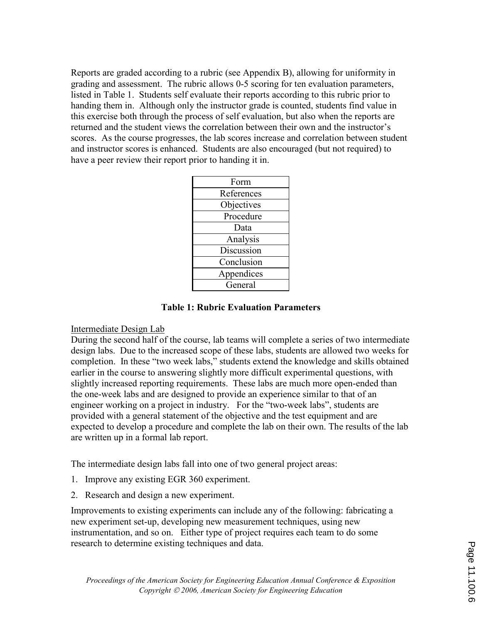Reports are graded according to a rubric (see Appendix B), allowing for uniformity in grading and assessment. The rubric allows 0-5 scoring for ten evaluation parameters, listed in Table 1. Students self evaluate their reports according to this rubric prior to handing them in. Although only the instructor grade is counted, students find value in this exercise both through the process of self evaluation, but also when the reports are returned and the student views the correlation between their own and the instructor's scores. As the course progresses, the lab scores increase and correlation between student and instructor scores is enhanced. Students are also encouraged (but not required) to have a peer review their report prior to handing it in.

#### Table 1: Rubric Evaluation Parameters

#### Intermediate Design Lab

During the second half of the course, lab teams will complete a series of two intermediate design labs. Due to the increased scope of these labs, students are allowed two weeks for completion. In these "two week labs," students extend the knowledge and skills obtained earlier in the course to answering slightly more difficult experimental questions, with slightly increased reporting requirements. These labs are much more open-ended than the one-week labs and are designed to provide an experience similar to that of an engineer working on a project in industry. For the "two-week labs", students are provided with a general statement of the objective and the test equipment and are expected to develop a procedure and complete the lab on their own. The results of the lab are written up in a formal lab report.

The intermediate design labs fall into one of two general project areas:

- 1. Improve any existing EGR 360 experiment.
- 2. Research and design a new experiment.

Improvements to existing experiments can include any of the following: fabricating a new experiment set-up, developing new measurement techniques, using new instrumentation, and so on. Either type of project requires each team to do some research to determine existing techniques and data.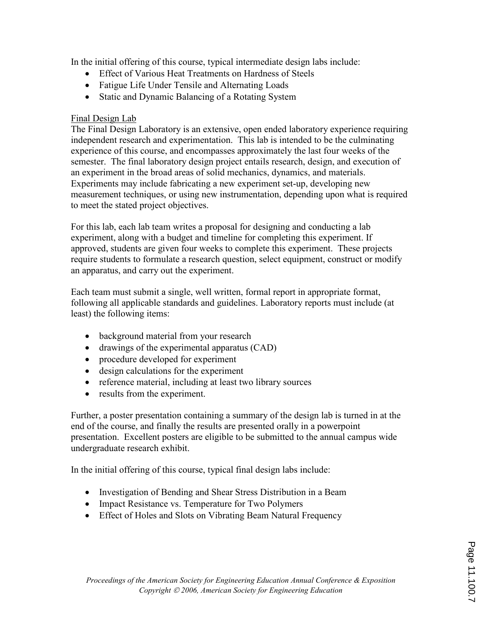In the initial offering of this course, typical intermediate design labs include:

- Effect of Various Heat Treatments on Hardness of Steels
- Fatigue Life Under Tensile and Alternating Loads
- Static and Dynamic Balancing of a Rotating System

## Final Design Lab

The Final Design Laboratory is an extensive, open ended laboratory experience requiring independent research and experimentation. This lab is intended to be the culminating experience of this course, and encompasses approximately the last four weeks of the semester. The final laboratory design project entails research, design, and execution of an experiment in the broad areas of solid mechanics, dynamics, and materials. Experiments may include fabricating a new experiment set-up, developing new measurement techniques, or using new instrumentation, depending upon what is required to meet the stated project objectives.

For this lab, each lab team writes a proposal for designing and conducting a lab experiment, along with a budget and timeline for completing this experiment. If approved, students are given four weeks to complete this experiment. These projects require students to formulate a research question, select equipment, construct or modify an apparatus, and carry out the experiment.

Each team must submit a single, well written, formal report in appropriate format, following all applicable standards and guidelines. Laboratory reports must include (at least) the following items:

- background material from your research
- drawings of the experimental apparatus (CAD)
- procedure developed for experiment
- design calculations for the experiment
- reference material, including at least two library sources
- results from the experiment.

Further, a poster presentation containing a summary of the design lab is turned in at the end of the course, and finally the results are presented orally in a powerpoint presentation. Excellent posters are eligible to be submitted to the annual campus wide undergraduate research exhibit.

In the initial offering of this course, typical final design labs include:

- Investigation of Bending and Shear Stress Distribution in a Beam
- Impact Resistance vs. Temperature for Two Polymers
- Effect of Holes and Slots on Vibrating Beam Natural Frequency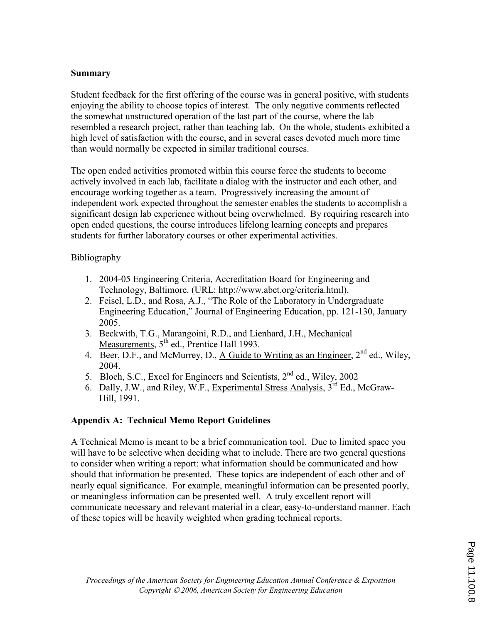### Summary

Student feedback for the first offering of the course was in general positive, with students enjoying the ability to choose topics of interest. The only negative comments reflected the somewhat unstructured operation of the last part of the course, where the lab resembled a research project, rather than teaching lab. On the whole, students exhibited a high level of satisfaction with the course, and in several cases devoted much more time than would normally be expected in similar traditional courses.

The open ended activities promoted within this course force the students to become actively involved in each lab, facilitate a dialog with the instructor and each other, and encourage working together as a team. Progressively increasing the amount of independent work expected throughout the semester enables the students to accomplish a significant design lab experience without being overwhelmed. By requiring research into open ended questions, the course introduces lifelong learning concepts and prepares students for further laboratory courses or other experimental activities.

## Bibliography

- 1. 2004-05 Engineering Criteria, Accreditation Board for Engineering and Technology, Baltimore. (URL: http://www.abet.org/criteria.html).
- 2. Feisel, L.D., and Rosa, A.J., "The Role of the Laboratory in Undergraduate Engineering Education," Journal of Engineering Education, pp. 121-130, January 2005.
- 3. Beckwith, T.G., Marangoini, R.D., and Lienhard, J.H., Mechanical Measurements, 5<sup>th</sup> ed., Prentice Hall 1993.
- 4. Beer, D.F., and McMurrey, D., A Guide to Writing as an Engineer, 2<sup>nd</sup> ed., Wiley, 2004.
- 5. Bloch, S.C., Excel for Engineers and Scientists, 2<sup>nd</sup> ed., Wiley, 2002
- 6. Dally, J.W., and Riley, W.F., Experimental Stress Analysis,  $3^{rd}$  Ed., McGraw-Hill, 1991.

## Appendix A: Technical Memo Report Guidelines

A Technical Memo is meant to be a brief communication tool. Due to limited space you will have to be selective when deciding what to include. There are two general questions to consider when writing a report: what information should be communicated and how should that information be presented. These topics are independent of each other and of nearly equal significance. For example, meaningful information can be presented poorly, or meaningless information can be presented well. A truly excellent report will communicate necessary and relevant material in a clear, easy-to-understand manner. Each of these topics will be heavily weighted when grading technical reports.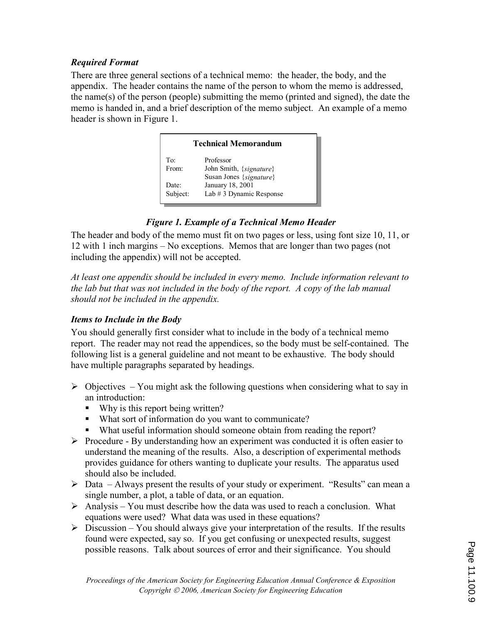## Required Format

There are three general sections of a technical memo: the header, the body, and the appendix. The header contains the name of the person to whom the memo is addressed, the name(s) of the person (people) submitting the memo (printed and signed), the date the memo is handed in, and a brief description of the memo subject. An example of a memo header is shown in Figure 1.



# Figure 1. Example of a Technical Memo Header

The header and body of the memo must fit on two pages or less, using font size 10, 11, or 12 with 1 inch margins – No exceptions. Memos that are longer than two pages (not including the appendix) will not be accepted.

At least one appendix should be included in every memo. Include information relevant to the lab but that was not included in the body of the report. A copy of the lab manual should not be included in the appendix.

## Items to Include in the Body

You should generally first consider what to include in the body of a technical memo report. The reader may not read the appendices, so the body must be self-contained. The following list is a general guideline and not meant to be exhaustive. The body should have multiple paragraphs separated by headings.

- $\triangleright$  Objectives You might ask the following questions when considering what to say in an introduction:
	- Why is this report being written?
	- What sort of information do you want to communicate?
	- What useful information should someone obtain from reading the report?
- $\triangleright$  Procedure By understanding how an experiment was conducted it is often easier to understand the meaning of the results. Also, a description of experimental methods provides guidance for others wanting to duplicate your results. The apparatus used should also be included.
- $\triangleright$  Data Always present the results of your study or experiment. "Results" can mean a single number, a plot, a table of data, or an equation.
- $\triangleright$  Analysis You must describe how the data was used to reach a conclusion. What equations were used? What data was used in these equations?
- $\triangleright$  Discussion You should always give your interpretation of the results. If the results found were expected, say so. If you get confusing or unexpected results, suggest possible reasons. Talk about sources of error and their significance. You should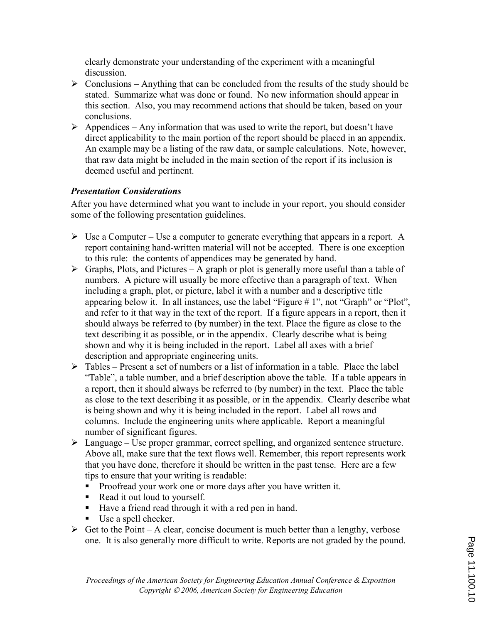clearly demonstrate your understanding of the experiment with a meaningful discussion.

- $\triangleright$  Conclusions Anything that can be concluded from the results of the study should be stated. Summarize what was done or found. No new information should appear in this section. Also, you may recommend actions that should be taken, based on your conclusions.
- $\triangleright$  Appendices Any information that was used to write the report, but doesn't have direct applicability to the main portion of the report should be placed in an appendix. An example may be a listing of the raw data, or sample calculations. Note, however, that raw data might be included in the main section of the report if its inclusion is deemed useful and pertinent.

# Presentation Considerations

After you have determined what you want to include in your report, you should consider some of the following presentation guidelines.

- $\triangleright$  Use a Computer Use a computer to generate everything that appears in a report. A report containing hand-written material will not be accepted. There is one exception to this rule: the contents of appendices may be generated by hand.
- $\triangleright$  Graphs, Plots, and Pictures A graph or plot is generally more useful than a table of numbers. A picture will usually be more effective than a paragraph of text. When including a graph, plot, or picture, label it with a number and a descriptive title appearing below it. In all instances, use the label "Figure # 1", not "Graph" or "Plot", and refer to it that way in the text of the report. If a figure appears in a report, then it should always be referred to (by number) in the text. Place the figure as close to the text describing it as possible, or in the appendix. Clearly describe what is being shown and why it is being included in the report. Label all axes with a brief description and appropriate engineering units.
- $\triangleright$  Tables Present a set of numbers or a list of information in a table. Place the label "Table", a table number, and a brief description above the table. If a table appears in a report, then it should always be referred to (by number) in the text. Place the table as close to the text describing it as possible, or in the appendix. Clearly describe what is being shown and why it is being included in the report. Label all rows and columns. Include the engineering units where applicable. Report a meaningful number of significant figures.
- $\triangleright$  Language Use proper grammar, correct spelling, and organized sentence structure. Above all, make sure that the text flows well. Remember, this report represents work that you have done, therefore it should be written in the past tense. Here are a few tips to ensure that your writing is readable:
	- Proofread your work one or more days after you have written it.
	- Read it out loud to yourself.
	- Have a friend read through it with a red pen in hand.
	- Use a spell checker.
- $\triangleright$  Get to the Point A clear, concise document is much better than a lengthy, verbose one. It is also generally more difficult to write. Reports are not graded by the pound.